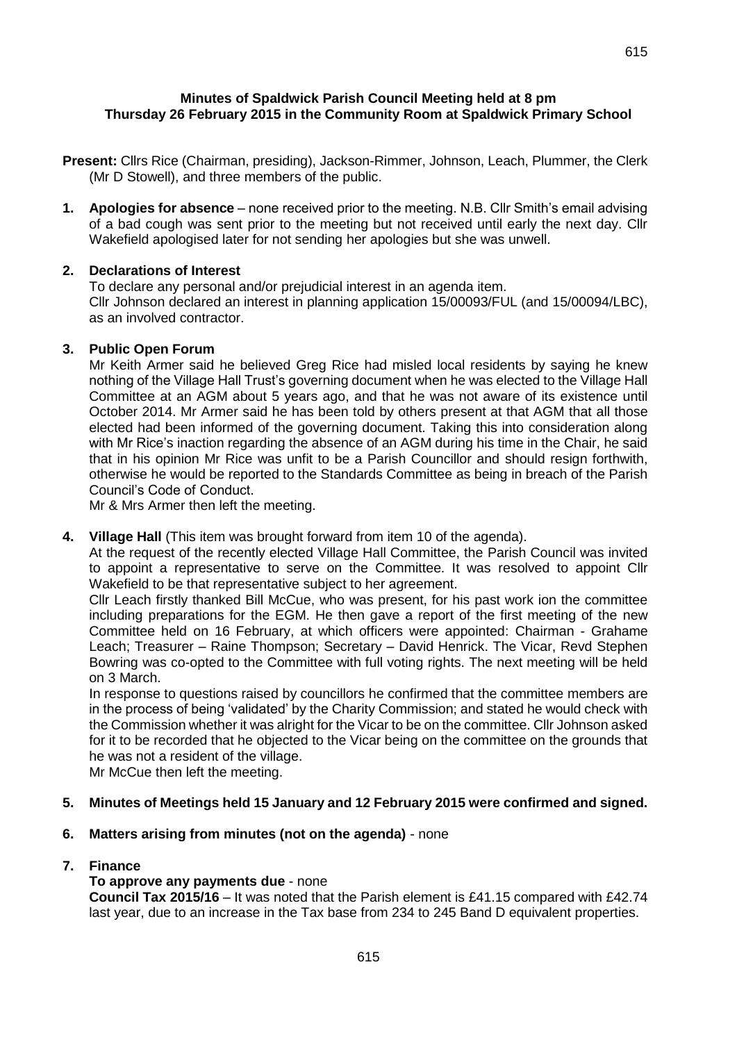615

### **Minutes of Spaldwick Parish Council Meeting held at 8 pm Thursday 26 February 2015 in the Community Room at Spaldwick Primary School**

- **Present:** Cllrs Rice (Chairman, presiding), Jackson-Rimmer, Johnson, Leach, Plummer, the Clerk (Mr D Stowell), and three members of the public.
- **1. Apologies for absence** none received prior to the meeting. N.B. Cllr Smith's email advising of a bad cough was sent prior to the meeting but not received until early the next day. Cllr Wakefield apologised later for not sending her apologies but she was unwell.

### **2. Declarations of Interest**

To declare any personal and/or prejudicial interest in an agenda item. Cllr Johnson declared an interest in planning application 15/00093/FUL (and 15/00094/LBC), as an involved contractor.

#### **3. Public Open Forum**

Mr Keith Armer said he believed Greg Rice had misled local residents by saying he knew nothing of the Village Hall Trust's governing document when he was elected to the Village Hall Committee at an AGM about 5 years ago, and that he was not aware of its existence until October 2014. Mr Armer said he has been told by others present at that AGM that all those elected had been informed of the governing document. Taking this into consideration along with Mr Rice's inaction regarding the absence of an AGM during his time in the Chair, he said that in his opinion Mr Rice was unfit to be a Parish Councillor and should resign forthwith, otherwise he would be reported to the Standards Committee as being in breach of the Parish Council's Code of Conduct.

Mr & Mrs Armer then left the meeting.

**4. Village Hall** (This item was brought forward from item 10 of the agenda).

At the request of the recently elected Village Hall Committee, the Parish Council was invited to appoint a representative to serve on the Committee. It was resolved to appoint Cllr Wakefield to be that representative subject to her agreement.

Cllr Leach firstly thanked Bill McCue, who was present, for his past work ion the committee including preparations for the EGM. He then gave a report of the first meeting of the new Committee held on 16 February, at which officers were appointed: Chairman - Grahame Leach; Treasurer – Raine Thompson; Secretary – David Henrick. The Vicar, Revd Stephen Bowring was co-opted to the Committee with full voting rights. The next meeting will be held on 3 March.

In response to questions raised by councillors he confirmed that the committee members are in the process of being 'validated' by the Charity Commission; and stated he would check with the Commission whether it was alright for the Vicar to be on the committee. Cllr Johnson asked for it to be recorded that he objected to the Vicar being on the committee on the grounds that he was not a resident of the village.

Mr McCue then left the meeting.

#### **5. Minutes of Meetings held 15 January and 12 February 2015 were confirmed and signed.**

**6. Matters arising from minutes (not on the agenda)** - none

#### **7. Finance**

#### **To approve any payments due** - none

**Council Tax 2015/16** – It was noted that the Parish element is £41.15 compared with £42.74 last year, due to an increase in the Tax base from 234 to 245 Band D equivalent properties.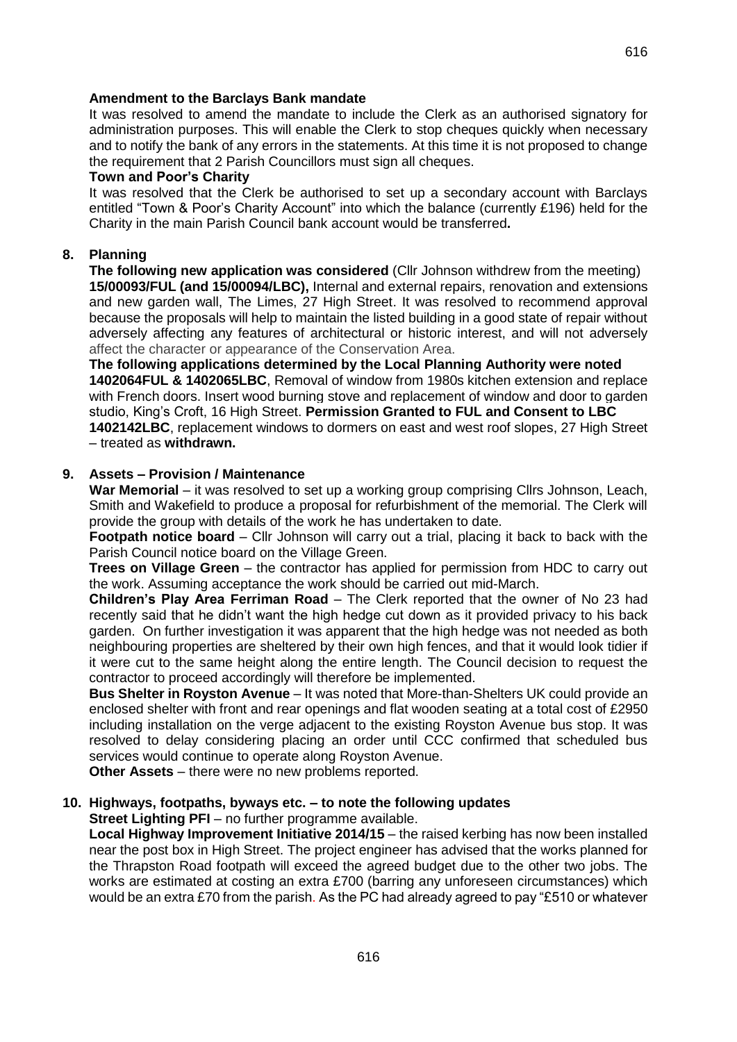616

## **Amendment to the Barclays Bank mandate**

It was resolved to amend the mandate to include the Clerk as an authorised signatory for administration purposes. This will enable the Clerk to stop cheques quickly when necessary and to notify the bank of any errors in the statements. At this time it is not proposed to change the requirement that 2 Parish Councillors must sign all cheques.

### **Town and Poor's Charity**

It was resolved that the Clerk be authorised to set up a secondary account with Barclays entitled "Town & Poor's Charity Account" into which the balance (currently £196) held for the Charity in the main Parish Council bank account would be transferred**.** 

## **8. Planning**

**The following new application was considered** (Cllr Johnson withdrew from the meeting) **15/00093/FUL (and 15/00094/LBC),** Internal and external repairs, renovation and extensions and new garden wall, The Limes, 27 High Street. It was resolved to recommend approval because the proposals will help to maintain the listed building in a good state of repair without adversely affecting any features of architectural or historic interest, and will not adversely affect the character or appearance of the Conservation Area.

**The following applications determined by the Local Planning Authority were noted 1402064FUL & 1402065LBC**, Removal of window from 1980s kitchen extension and replace with French doors. Insert wood burning stove and replacement of window and door to garden studio, King's Croft, 16 High Street. **Permission Granted to FUL and Consent to LBC 1402142LBC**, replacement windows to dormers on east and west roof slopes, 27 High Street – treated as **withdrawn.**

## **9. Assets – Provision / Maintenance**

**War Memorial** – it was resolved to set up a working group comprising Cllrs Johnson, Leach, Smith and Wakefield to produce a proposal for refurbishment of the memorial. The Clerk will provide the group with details of the work he has undertaken to date.

**Footpath notice board** – Cllr Johnson will carry out a trial, placing it back to back with the Parish Council notice board on the Village Green.

**Trees on Village Green** – the contractor has applied for permission from HDC to carry out the work. Assuming acceptance the work should be carried out mid-March.

**Children's Play Area Ferriman Road** – The Clerk reported that the owner of No 23 had recently said that he didn't want the high hedge cut down as it provided privacy to his back garden. On further investigation it was apparent that the high hedge was not needed as both neighbouring properties are sheltered by their own high fences, and that it would look tidier if it were cut to the same height along the entire length. The Council decision to request the contractor to proceed accordingly will therefore be implemented.

**Bus Shelter in Royston Avenue** – It was noted that More-than-Shelters UK could provide an enclosed shelter with front and rear openings and flat wooden seating at a total cost of £2950 including installation on the verge adjacent to the existing Royston Avenue bus stop. It was resolved to delay considering placing an order until CCC confirmed that scheduled bus services would continue to operate along Royston Avenue.

**Other Assets** – there were no new problems reported.

# **10. Highways, footpaths, byways etc. – to note the following updates**

**Street Lighting PFI** – no further programme available.

**Local Highway Improvement Initiative 2014/15** – the raised kerbing has now been installed near the post box in High Street. The project engineer has advised that the works planned for the Thrapston Road footpath will exceed the agreed budget due to the other two jobs. The works are estimated at costing an extra £700 (barring any unforeseen circumstances) which would be an extra £70 from the parish. As the PC had already agreed to pay "£510 or whatever